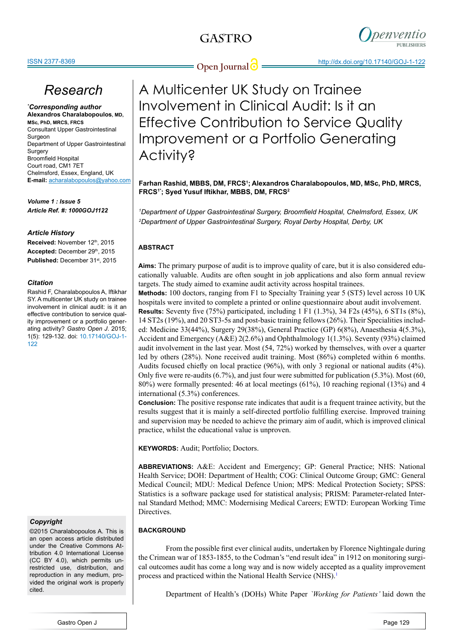

**Open Journal**  $\bigcirc$  **http://dx.doi.org/10.17140/GOJ-1-122** 

# *Research*

*\* Corresponding author* **Alexandros Charalabopoulos, MD, MSc, PhD, MRCS, FRCS** Consultant Upper Gastrointestinal Surgeon Department of Upper Gastrointestinal Surgery Broomfield Hospital Court road, CM1 7ET Chelmsford, Essex, England, UK **E-mail:** acharalabopoulos@yahoo.com

*Volume 1 : Issue 5 Article Ref. #: 1000GOJ1122*

### *Article History*

Received: November 12th, 2015 Accepted: December 29th, 2015 Published: December 31<sup>st</sup>, 2015

#### *Citation*

Rashid F, Charalabopoulos A, Iftikhar SY. A multicenter UK study on trainee involvement in clinical audit: is it an effective contribution to service quality improvement or a portfolio generating activity? *Gastro Open J*. 2015; 1(5): 129-132. doi: [10.17140/GOJ-1-](http://openventio.org/Volume1_Issue5/A_Multicenter_UK_Study_on_Trainee_Involvement_in_Clinical_Audit_Is_it_an_Effective_Contribution_to_Service_Quality_Improvement_or_a_Portfolio_Generating_Activity_GOJ_1_122.pdf) [122](http://openventio.org/Volume1_Issue5/A_Multicenter_UK_Study_on_Trainee_Involvement_in_Clinical_Audit_Is_it_an_Effective_Contribution_to_Service_Quality_Improvement_or_a_Portfolio_Generating_Activity_GOJ_1_122.pdf)

### *Copyright*

©2015 Charalabopoulos A. This is an open access article distributed under the Creative Commons Attribution 4.0 International License (CC BY 4.0), which permits unrestricted use, distribution, and reproduction in any medium, provided the original work is properly cited.

A Multicenter UK Study on Trainee Involvement in Clinical Audit: Is it an Effective Contribution to Service Quality Improvement or a Portfolio Generating Activity?

**Farhan Rashid, MBBS, DM, FRCS1 ; Alexandros Charalabopoulos, MD, MSc, PhD, MRCS, FRCS1\*; Syed Yusuf Iftikhar, MBBS, DM, FRCS2**

*1 Department of Upper Gastrointestinal Surgery, Broomfield Hospital, Chelmsford, Essex, UK 2 Department of Upper Gastrointestinal Surgery, Royal Derby Hospital, Derby, UK*

### **ABSTRACT**

**Aims:** The primary purpose of audit is to improve quality of care, but it is also considered educationally valuable. Audits are often sought in job applications and also form annual review targets. The study aimed to examine audit activity across hospital trainees.

**Methods:** 100 doctors, ranging from F1 to Specialty Training year 5 (ST5) level across 10 UK hospitals were invited to complete a printed or online questionnaire about audit involvement. **Results:** Seventy five (75%) participated, including 1 F1 (1.3%), 34 F2s (45%), 6 ST1s (8%), 14 ST2s (19%), and 20 ST3-5s and post-basic training fellows (26%). Their Specialities included: Medicine 33(44%), Surgery 29(38%), General Practice (GP) 6(8%), Anaesthesia 4(5.3%), Accident and Emergency (A&E) 2(2.6%) and Ophthalmology 1(1.3%). Seventy (93%) claimed audit involvement in the last year. Most (54, 72%) worked by themselves, with over a quarter led by others (28%). None received audit training. Most (86%) completed within 6 months. Audits focused chiefly on local practice (96%), with only 3 regional or national audits (4%). Only five were re-audits (6.7%), and just four were submitted for publication (5.3%). Most (60, 80%) were formally presented: 46 at local meetings (61%), 10 reaching regional (13%) and 4 international (5.3%) conferences.

**Conclusion:** The positive response rate indicates that audit is a frequent trainee activity, but the results suggest that it is mainly a self-directed portfolio fulfilling exercise. Improved training and supervision may be needed to achieve the primary aim of audit, which is improved clinical practice, whilst the educational value is unproven.

**KEYWORDS:** Audit; Portfolio; Doctors.

**ABBREVIATIONS:** A&E: Accident and Emergency; GP: General Practice; NHS: National Health Service; DOH: Department of Health; COG: Clinical Outcome Group; GMC: General Medical Council; MDU: Medical Defence Union; MPS: Medical Protection Society; SPSS: Statistics is a software package used for statistical analysis; PRISM: Parameter-related Internal Standard Method; MMC: Modernising Medical Careers; EWTD: European Working Time Directives.

### **BACKGROUND**

From the possible first ever clinical audits, undertaken by Florence Nightingale during the Crimean war of 1853-1855, to the Codman's "end result idea" in 1912 on monitoring surgical outcomes audit has come a long way and is now widely accepted as a quality improvement process and practiced within the National Health Service (NHS).<sup>[1](#page-3-0)</sup>

Department of Health's (DOHs) White Paper *`Working for Patients'* laid down the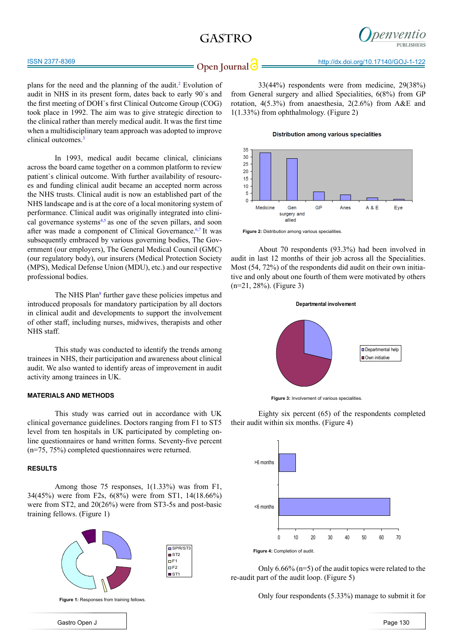## **GASTRO**



**Open Journal**  $\bigcirc$  **http://dx.doi.org/10.17140/GOJ-1-122** 

plans for the need and the planning of the audit.<sup>2</sup> Evolution of audit in NHS in its present form, dates back to early 90`s and the first meeting of DOH`s first Clinical Outcome Group (COG) took place in 1992. The aim was to give strategic direction to the clinical rather than merely medical audit. It was the first time when a multidisciplinary team approach was adopted to improve clinical outcomes.<sup>[3](#page-3-1)</sup>

In 1993, medical audit became clinical, clinicians across the board came together on a common platform to review patient`s clinical outcome. With further availability of resources and funding clinical audit became an accepted norm across the NHS trusts. Clinical audit is now an established part of the NHS landscape and is at the core of a local monitoring system of performance. Clinical audit was originally integrated into clinical governance systems $4,5$  as one of the seven pillars, and soon after was made a component of Clinical Governance.6,7 It was subsequently embraced by various governing bodies, The Government (our employers), The General Medical Council (GMC) (our regulatory body), our insurers (Medical Protection Society (MPS), Medical Defense Union (MDU), etc.) and our respective professional bodies.

The NHS Plan<sup>8</sup> further gave these policies impetus and introduced proposals for mandatory participation by all doctors in clinical audit and developments to support the involvement of other staff, including nurses, midwives, therapists and other NHS staff.

This study was conducted to identify the trends among trainees in NHS, their participation and awareness about clinical audit. We also wanted to identify areas of improvement in audit activity among trainees in UK.

#### **MATERIALS AND METHODS**

This study was carried out in accordance with UK clinical governance guidelines. Doctors ranging from F1 to ST5 level from ten hospitals in UK participated by completing online questionnaires or hand written forms. Seventy-five percent (n=75, 75%) completed questionnaires were returned.

#### **RESULTS**

Among those 75 responses, 1(1.33%) was from F1, 34(45%) were from F2s, 6(8%) were from ST1, 14(18.66%) were from ST2, and 20(26%) were from ST3-5s and post-basic training fellows. (Figure 1)

> $SPR/ST3$ ■ST2  $EF1$  $\Box$ F2  $\overline{\phantom{a}}$  ST1



**Figure 1: Responses from training fellows.** 

33(44%) respondents were from medicine, 29(38%) from General surgery and allied Specialities, 6(8%) from GP rotation, 4(5.3%) from anaesthesia, 2(2.6%) from A&E and 1(1.33%) from ophthalmology. (Figure 2)

**Distribution among various specialities** 



**Figure 2:** Distribution among various specialities.

About 70 respondents (93.3%) had been involved in audit in last 12 months of their job across all the Specialities. Most (54, 72%) of the respondents did audit on their own initiative and only about one fourth of them were motivated by others (n=21, 28%). (Figure 3)



**Figure 3:** Involvement of various specialities.

Eighty six percent (65) of the respondents completed their audit within six months. (Figure 4)



Only 6.66% (n=5) of the audit topics were related to the re-audit part of the audit loop. (Figure 5)

Only four respondents (5.33%) manage to submit it for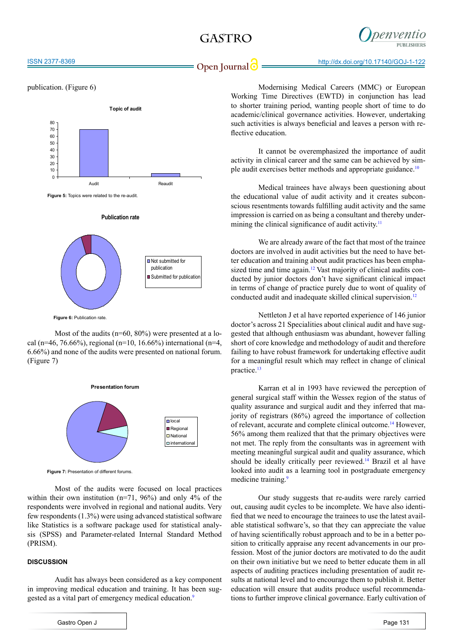## **GASTRO**



#### ISSN 2377-8369

publication. (Figure 6)



**Publication rate** 

**Figure 5:** Topics were related to the re-audit.



**Figure 6: Publication rate** 

Most of the audits ( $n=60$ ,  $80\%$ ) were presented at a local (n=46, 76.66%), regional (n=10, 16.66%) international (n=4, 6.66%) and none of the audits were presented on national forum. (Figure 7)



**Figure 7:** Presentation of different forums.

Most of the audits were focused on local practices within their own institution (n=71, 96%) and only 4% of the respondents were involved in regional and national audits. Very few respondents (1.3%) were using advanced statistical software like Statistics is a software package used for statistical analysis (SPSS) and Parameter-related Internal Standard Method (PRISM).

#### **DISCUSSION**

Audit has always been considered as a key component in improving medical education and training. It has been suggested as a vital part of emergency medical education.<sup>9</sup>

Modernising Medical Careers (MMC) or European Working Time Directives (EWTD) in conjunction has lead to shorter training period, wanting people short of time to do academic/clinical governance activities. However, undertaking such activities is always beneficial and leaves a person with reflective education.

It cannot be overemphasized the importance of audit activity in clinical career and the same can be achieved by simple audit exercises better methods and appropriate guidance.<sup>10</sup>

Medical trainees have always been questioning about the educational value of audit activity and it creates subconscious resentments towards fulfilling audit activity and the same impression is carried on as being a consultant and thereby under-mining the clinical significance of audit activity.<sup>[11](#page-3-3)</sup>

We are already aware of the fact that most of the trainee doctors are involved in audit activities but the need to have better education and training about audit practices has been emphasized time and time again.<sup>12</sup> Vast majority of clinical audits conducted by junior doctors don't have significant clinical impact in terms of change of practice purely due to wont of quality of conducted audit and inadequate skilled clinical supervision.<sup>12</sup>

Nettleton J et al have reported experience of 146 junior doctor's across 21 Specialities about clinical audit and have suggested that although enthusiasm was abundant, however falling short of core knowledge and methodology of audit and therefore failing to have robust framework for undertaking effective audit for a meaningful result which may reflect in change of clinical practice.<sup>13</sup>

Karran et al in 1993 have reviewed the perception of general surgical staff within the Wessex region of the status of quality assurance and surgical audit and they inferred that majority of registrars (86%) agreed the importance of collection of relevant, accurate and complete clinical outcome.[14](#page-3-5) However, 56% among them realized that that the primary objectives were not met. The reply from the consultants was in agreement with meeting meaningful surgical audit and quality assurance, which should be ideally critically peer reviewed.<sup>[14](#page-3-5)</sup> Brazil et al have looked into audit as a learning tool in postgraduate emergency medicine training.<sup>9</sup>

Our study suggests that re-audits were rarely carried out, causing audit cycles to be incomplete. We have also identified that we need to encourage the trainees to use the latest available statistical software's, so that they can appreciate the value of having scientifically robust approach and to be in a better position to critically appraise any recent advancements in our profession. Most of the junior doctors are motivated to do the audit on their own initiative but we need to better educate them in all aspects of auditing practices including presentation of audit results at national level and to encourage them to publish it. Better education will ensure that audits produce useful recommendations to further improve clinical governance. Early cultivation of